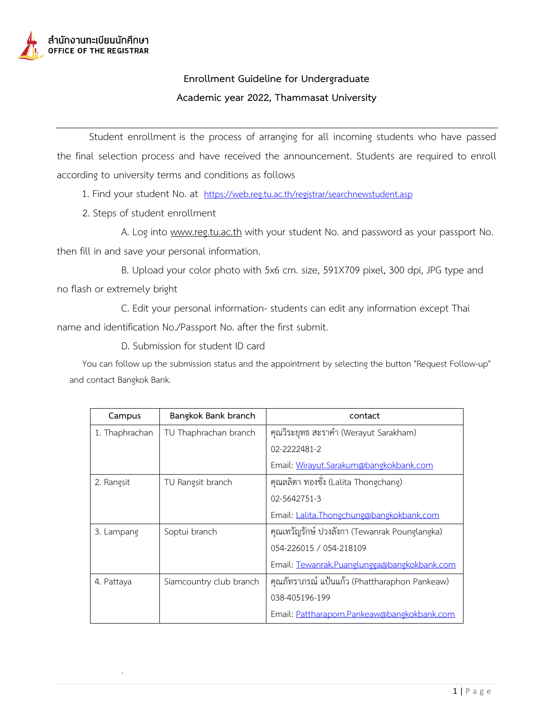

## **Enrollment Guideline for Undergraduate Academic year 2022, Thammasat University**

Student enrollment is the process of arranging for all incoming students who have passed the final selection process and have received the announcement. Students are required to enroll according to university terms and conditions as follows

1. Find your student No. at <https://web.reg.tu.ac.th/registrar/searchnewstudent.asp>

2. Steps of student enrollment

.

A. Log into www.reg.tu.ac.th with your student No. and password as your passport No. then fill in and save your personal information.

B. Upload your color photo with 5x6 cm. size, 591X709 pixel, 300 dpi, JPG type and no flash or extremely bright

C. Edit your personal information- students can edit any information except Thai name and identification No./Passport No. after the first submit.

D. Submission for student ID card

You can follow up the submission status and the appointment by selecting the button "Request Follow-up" and contact Bangkok Bank.

| Campus         | Bangkok Bank branch     | contact                                       |
|----------------|-------------------------|-----------------------------------------------|
| 1. Thaphrachan | TU Thaphrachan branch   | คุณวิระยุทธ สะราคำ (Werayut Sarakham)         |
|                |                         | 02-2222481-2                                  |
|                |                         | Email: Wirayut.Sarakum@bangkokbank.com        |
| 2. Rangsit     | TU Rangsit branch       | คุณลลิตา ทองชั่ง (Lalita Thongchang)          |
|                |                         | 02-5642751-3                                  |
|                |                         | Email: Lalita.Thongchung@bangkokbank.com      |
| 3. Lampang     | Soptui branch           | คุณเทวัญรักษ์ ปวงลังกา (Tewanrak Pounglangka) |
|                |                         | 054-226015 / 054-218109                       |
|                |                         | Email: Tewanrak.Puanglungga@bangkokbank.com   |
| 4. Pattaya     | Siamcountry club branch | คุณภัทราภรณ์ แป้นแก้ว (Phattharaphon Pankeaw) |
|                |                         | 038-405196-199                                |
|                |                         | Email: Pattharaporn.Pankeaw@bangkokbank.com   |